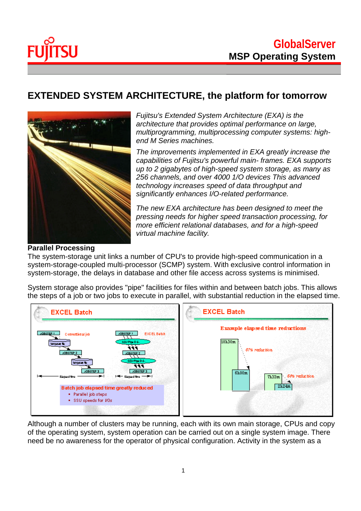



## **EXTENDED SYSTEM ARCHITECTURE, the platform for tomorrow**



*Fujitsu's Extended System Architecture (EXA) is the architecture that provides optimal performance on large, multiprogramming, multiprocessing computer systems: highend M Series machines.*

*The improvements implemented in EXA greatly increase the capabilities of Fujitsu's powerful main- frames. EXA supports up to 2 gigabytes of high-speed system storage, as many as 256 channels, and over 4000 1/O devices This advanced technology increases speed of data throughput and significantly enhances I/O-related performance.*

*The new EXA architecture has been designed to meet the pressing needs for higher speed transaction processing, for more efficient relational databases, and for a high-speed virtual machine facility.*

#### **Parallel Processing**

The system-storage unit links a number of CPU's to provide high-speed communication in a system-storage-coupled multi-processor (SCMP) system. With exclusive control information in system-storage, the delays in database and other file access across systems is minimised.

System storage also provides "pipe" facilities for files within and between batch jobs. This allows the steps of a job or two jobs to execute in parallel, with substantial reduction in the elapsed time.



Although a number of clusters may be running, each with its own main storage, CPUs and copy of the operating system, system operation can be carried out on a single system image. There need be no awareness for the operator of physical configuration. Activity in the system as a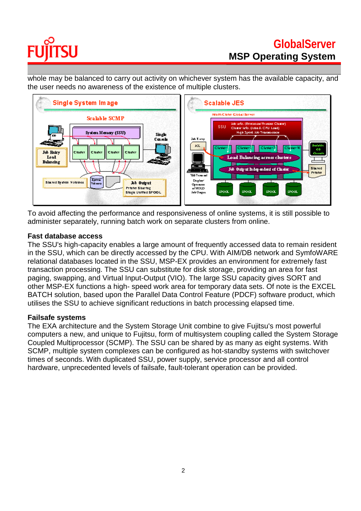# SU FU

## **GlobalServer MSP Operating System**

whole may be balanced to carry out activity on whichever system has the available capacity, and the user needs no awareness of the existence of multiple clusters.



To avoid affecting the performance and responsiveness of online systems, it is still possible to administer separately, running batch work on separate clusters from online.

#### **Fast database access**

The SSU's high-capacity enables a large amount of frequently accessed data to remain resident in the SSU, which can be directly accessed by the CPU. With AIM/DB network and SymfoWARE relational databases located in the SSU, MSP-EX provides an environment for extremely fast transaction processing. The SSU can substitute for disk storage, providing an area for fast paging, swapping, and Virtual Input-Output (VIO). The large SSU capacity gives SORT and other MSP-EX functions a high- speed work area for temporary data sets. Of note is the EXCEL BATCH solution, based upon the Parallel Data Control Feature (PDCF) software product, which utilises the SSU to achieve significant reductions in batch processing elapsed time.

#### **Failsafe systems**

The EXA architecture and the System Storage Unit combine to give Fujitsu's most powerful computers a new, and unique to Fujitsu, form of multisystem coupling called the System Storage Coupled Multiprocessor (SCMP). The SSU can be shared by as many as eight systems. With SCMP, multiple system complexes can be configured as hot-standby systems with switchover times of seconds. With duplicated SSU, power supply, service processor and all control hardware, unprecedented levels of failsafe, fault-tolerant operation can be provided.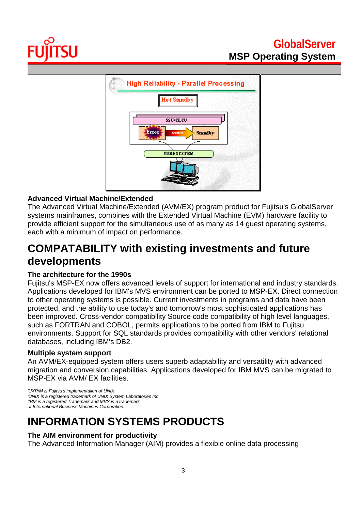



## **Advanced Virtual Machine/Extended**

The Advanced Virtual Machine/Extended (AVM/EX) program product for Fujitsu's GlobalServer systems mainframes, combines with the Extended Virtual Machine (EVM) hardware facility to provide efficient support for the simultaneous use of as many as 14 guest operating systems, each with a minimum of impact on performance.

## **COMPATABILITY with existing investments and future developments**

### **The architecture for the 1990s**

Fujitsu's MSP-EX now offers advanced levels of support for international and industry standards. Applications developed for IBM's MVS environment can be ported to MSP-EX. Direct connection to other operating systems is possible. Current investments in programs and data have been protected, and the ability to use today's and tomorrow's most sophisticated applications has been improved. Cross-vendor compatibility Source code compatibility of high level languages, such as FORTRAN and COBOL, permits applications to be ported from IBM to Fujitsu environments. Support for SQL standards provides compatibility with other vendors' relational databases, including IBM's DB2.

### **Multiple system support**

An AVM/EX-equipped system offers users superb adaptability and versatility with advanced migration and conversion capabilities. Applications developed for IBM MVS can be migrated to MSP-EX via AVM/ EX facilities.

*'UXP/M is Fujitsu's implementalion of UNIX 'UNIX is a registered trademark of UNIX System Laboratories Inc. 'IBM is a registered Trademark and MVS is a trademark of International Business Machines Corporation.*

## **INFORMATION SYSTEMS PRODUCTS**

### **The AIM environment for productivity**

The Advanced Information Manager (AIM) provides a flexible online data processing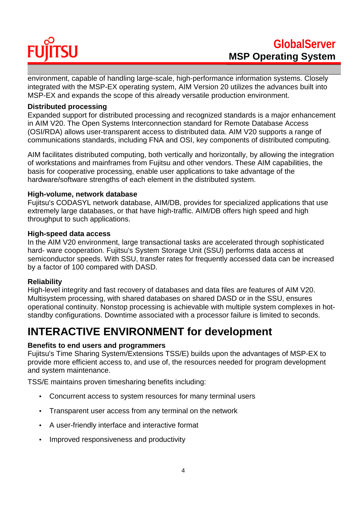## **TSU** FU

environment, capable of handling large-scale, high-performance information systems. Closely integrated with the MSP-EX operating system, AIM Version 20 utilizes the advances built into MSP-EX and expands the scope of this already versatile production environment.

#### **Distributed processing**

Expanded support for distributed processing and recognized standards is a major enhancement in AIM V20. The Open Systems Interconnection standard for Remote Database Access (OSI/RDA) allows user-transparent access to distributed data. AIM V20 supports a range of communications standards, including FNA and OSI, key components of distributed computing.

AIM facilitates distributed computing, both vertically and horizontally, by allowing the integration of workstations and mainframes from Fujitsu and other vendors. These AIM capabilities, the basis for cooperative processing, enable user applications to take advantage of the hardware/software strengths of each element in the distributed system.

#### **High-volume, network database**

Fujitsu's CODASYL network database, AIM/DB, provides for specialized applications that use extremely large databases, or that have high-traffic. AIM/DB offers high speed and high throughput to such applications.

#### **High-speed data access**

In the AIM V20 environment, large transactional tasks are accelerated through sophisticated hard- ware cooperation. Fujitsu's System Storage Unit (SSU) performs data access at semiconductor speeds. With SSU, transfer rates for frequently accessed data can be increased by a factor of 100 compared with DASD.

### **Reliability**

High-level integrity and fast recovery of databases and data files are features of AIM V20. Multisystem processing, with shared databases on shared DASD or in the SSU, ensures operational continuity. Nonstop processing is achievable with multiple system complexes in hotstandby configurations. Downtime associated with a processor failure is limited to seconds.

## **INTERACTIVE ENVIRONMENT for development**

### **Benefits to end users and programmers**

Fujitsu's Time Sharing System/Extensions TSS/E) builds upon the advantages of MSP-EX to provide more efficient access to, and use of, the resources needed for program development and system maintenance.

TSS/E maintains proven timesharing benefits including:

- Concurrent access to system resources for many terminal users
- Transparent user access from any terminal on the network
- A user-friendly interface and interactive format
- Improved responsiveness and productivity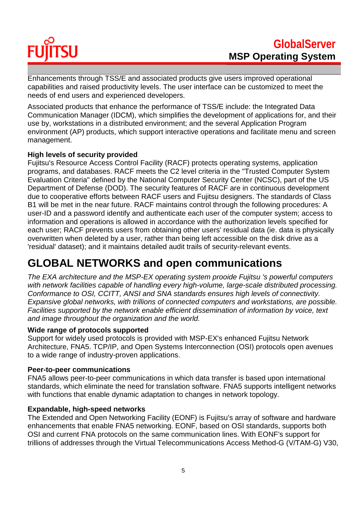# **TSU** FU

Enhancements through TSS/E and associated products give users improved operational capabilities and raised productivity levels. The user interface can be customized to meet the needs of end users and experienced developers.

Associated products that enhance the performance of TSS/E include: the Integrated Data Communication Manager (IDCM), which simplifies the development of applications for, and their use by, workstations in a distributed environment; and the several Application Program environment (AP) products, which support interactive operations and facilitate menu and screen management.

### **High levels of security provided**

Fujitsu's Resource Access Control Facility (RACF) protects operating systems, application programs, and databases. RACF meets the C2 level criteria in the "Trusted Computer System Evaluation Criteria" defined by the National Computer Security Center (NCSC), part of the US Department of Defense (DOD). The security features of RACF are in continuous development due to cooperative efforts between RACF users and Fujitsu designers. The standards of Class B1 will be met in the near future. RACF maintains control through the following procedures: A user-ID and a password identify and authenticate each user of the computer system; access to information and operations is allowed in accordance with the authorization levels specified for each user; RACF prevents users from obtaining other users' residual data (ie. data is physically overwritten when deleted by a user, rather than being left accessible on the disk drive as a 'residual' dataset); and it maintains detailed audit trails of security-relevant events.

## **GLOBAL NETWORKS and open communications**

*The EXA architecture and the MSP-EX operating system prooide Fujitsu 's powerful computers with network facilities capable of handling every high-volume, large-scale distributed processing. Conformance to OSI, CCITT, ANSI and SNA standards ensures high levels of connectivity. Expansive global networks, with trillions of connected computers and workstations, are possible. Facilities supported by the network enable efficient dissemination of information by voice, text and image throughout the organization and the world.*

### **Wide range of protocols supported**

Support for widely used protocols is provided with MSP-EX's enhanced Fujitsu Network Architecture, FNA5. TCP/IP, and Open Systems Interconnection (OSI) protocols open avenues to a wide range of industry-proven applications.

#### **Peer-to-peer communications**

FNA5 allows peer-to-peer communications in which data transfer is based upon international standards, which eliminate the need for translation software. FNA5 supports intelligent networks with functions that enable dynamic adaptation to changes in network topology.

#### **Expandable, high-speed networks**

The Extended and Open Networking Facility (EONF) is Fujitsu's array of software and hardware enhancements that enable FNA5 networking. EONF, based on OSI standards, supports both OSI and current FNA protocols on the same communication lines. With EONF's support for trillions of addresses through the Virtual Telecommunications Access Method-G (V/TAM-G) V30,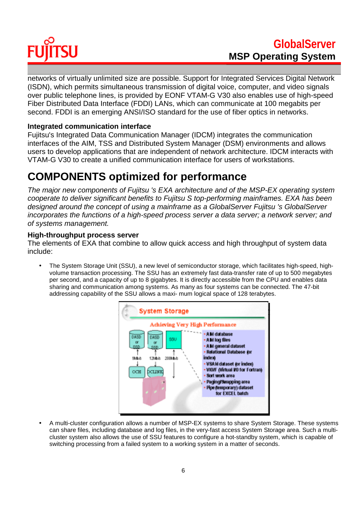# **SU**

networks of virtually unlimited size are possible. Support for Integrated Services Digital Network (ISDN), which permits simultaneous transmission of digital voice, computer, and video signals over public telephone lines, is provided by EONF VTAM-G V30 also enables use of high-speed Fiber Distributed Data Interface (FDDI) LANs, which can communicate at 100 megabits per second. FDDI is an emerging ANSI/ISO standard for the use of fiber optics in networks.

### **Integrated communication interface**

Fujitsu's Integrated Data Communication Manager (IDCM) integrates the communication interfaces of the AIM, TSS and Distributed System Manager (DSM) environments and allows users to develop applications that are independent of network architecture. IDCM interacts with VTAM-G V30 to create a unified communication interface for users of workstations.

## **COMPONENTS optimized for performance**

*The major new components of Fujitsu 's EXA architecture and of the MSP-EX operating system cooperate to deliver significant benefits to Fujitsu S top-performing mainframes. EXA has been designed around the concept of using a mainframe as a GlobalServer Fujitsu 's GlobalServer incorporates the functions of a high-speed process server a data server; a network server; and of systems management.*

### **High-throughput process server**

The elements of EXA that combine to allow quick access and high throughput of system data include:

• The System Storage Unit (SSU), a new level of semiconductor storage, which facilitates high-speed, highvolume transaction processing. The SSU has an extremely fast data-transfer rate of up to 500 megabytes per second, and a capacity of up to 8 gigabytes. It is directly accessible from the CPU and enables data sharing and communication among systems. As many as four systems can be connected. The 47-bit addressing capability of the SSU allows a maxi- mum logical space of 128 terabytes.



• A multi-cluster configuration allows a number of MSP-EX systems to share System Storage. These systems can share files, including database and log files, in the very-fast access System Storage area. Such a multicluster system also allows the use of SSU features to configure a hot-standby system, which is capable of switching processing from a failed system to a working system in a matter of seconds.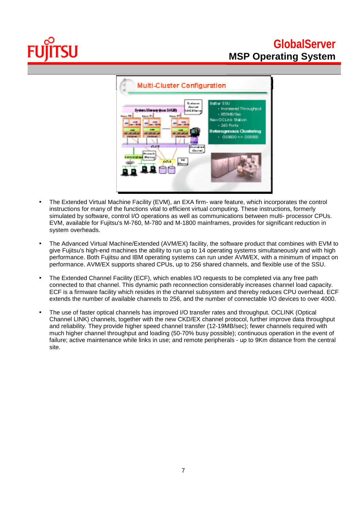## **GlobalServer MSP Operating System**



- The Extended Virtual Machine Facility (EVM), an EXA firm- ware feature, which incorporates the control instructions for many of the functions vital to efficient virtual computing. These instructions, formerly simulated by software, control I/O operations as well as communications between multi- processor CPUs. EVM, available for Fujitsu's M-760, M-780 and M-1800 mainframes, provides for significant reduction in system overheads.
- The Advanced Virtual Machine/Extended (AVM/EX) facility, the software product that combines with EVM to give Fujitsu's high-end machines the ability to run up to 14 operating systems simultaneously and with high performance. Both Fujitsu and IBM operating systems can run under AVM/EX, with a minimum of impact on performance. AVM/EX supports shared CPUs, up to 256 shared channels, and flexible use of the SSU.
- The Extended Channel Facility (ECF), which enables I/O requests to be completed via any free path connected to that channel. This dynamic path reconnection considerably increases channel load capacity. ECF is a firmware facility which resides in the channel subsystem and thereby reduces CPU overhead. ECF extends the number of available channels to 256, and the number of connectable I/O devices to over 4000.
- The use of faster optical channels has improved I/O transfer rates and throughput. OCLINK (Optical Channel LINK) channels, together with the new CKD/EX channel protocol, further improve data throughput and reliability. They provide higher speed channel transfer (12-19MB/sec); fewer channels required with much higher channel throughput and loading (50-70% busy possible); continuous operation in the event of failure; active maintenance while links in use; and remote peripherals - up to 9Km distance from the central site.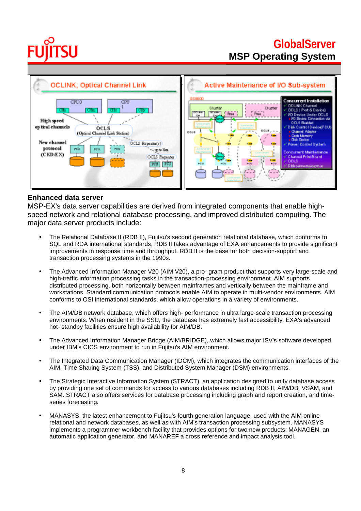## **GlobalServer MSP Operating System**



#### **Enhanced data server**

MSP-EX's data server capabilities are derived from integrated components that enable highspeed network and relational database processing, and improved distributed computing. The major data server products include:

- The Relational Database II (RDB II), Fujitsu's second generation relational database, which conforms to SQL and RDA international standards. RDB II takes advantage of EXA enhancements to provide significant improvements in response time and throughput. RDB II is the base for both decision-support and transaction processing systems in the 1990s.
- The Advanced Information Manager V20 (AIM V20), a pro- gram product that supports very large-scale and high-traffic information processing tasks in the transaction-processing environment. AIM supports distributed processing, both horizontally between mainframes and vertically between the mainframe and workstations. Standard communication protocols enable AIM to operate in multi-vendor environments. AIM conforms to OSI international standards, which allow operations in a variety of environments.
- The AIM/DB network database, which offers high- performance in ultra large-scale transaction processing environments. When resident in the SSU, the database has extremely fast accessibility. EXA's advanced hot- standby facilities ensure high availability for AIM/DB.
- The Advanced Information Manager Bridge (AIM/BRIDGE), which allows major ISV's software developed under IBM's CICS environment to run in Fujitsu's AIM environment.
- The Integrated Data Communication Manager (IDCM), which integrates the communication interfaces of the AIM, Time Sharing System (TSS), and Distributed System Manager (DSM) environments.
- The Strategic Interactive Information System (STRACT), an application designed to unify database access by providing one set of commands for access to various databases including RDB II, AIM/DB, VSAM, and SAM. STRACT also offers services for database processing including graph and report creation, and timeseries forecasting.
- MANASYS, the latest enhancement to Fujitsu's fourth generation language, used with the AIM online relational and network databases, as well as with AIM's transaction processing subsystem. MANASYS implements a programmer workbench facility that provides options for two new products: MANAGEN, an automatic application generator, and MANAREF a cross reference and impact analysis tool.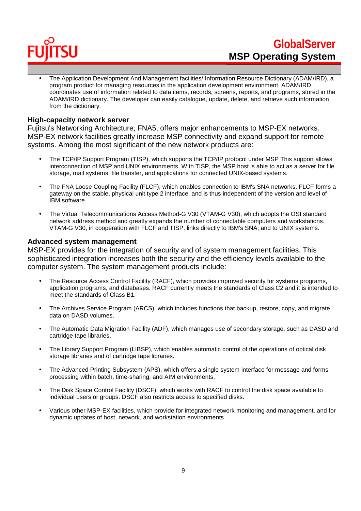

• The Application Development And Management facilities/ Information Resource Dictionary (ADAM/IRD), a program product for managing resources in the application development environment. ADAM/IRD coordinates use of information related to data items, records, screens, reports, and programs, stored in the ADAM/IRD dictionary. The developer can easily catalogue, update, delete, and retrieve such information from the dictionary.

#### **High-capacity network server**

Fujitsu's Networking Architecture, FNA5, offers major enhancements to MSP-EX networks. MSP-EX network facilities greatly increase MSP connectivity and expand support for remote systems. Among the most significant of the new network products are:

- The TCP/IP Support Program (TISP), which supports the TCP/IP protocol under MSP This support allows interconnection of MSP and UNIX environments. With TISP, the MSP host is able to act as a server for file storage, mail systems, file transfer, and applications for connected UNIX-based systems.
- The FNA Loose Coupling Facility (FLCF), which enables connection to IBM's SNA networks. FLCF forms a gateway on the stable, physical unit type 2 interface, and is thus independent of the version and level of IBM software.
- The Virtual Telecommunications Access Method-G V30 (VTAM-G V30), which adopts the OSI standard network address method and greatly expands the number of connectable computers and workstations. VTAM-G V30, in cooperation with FLCF and TISP, links directly to IBM's SNA, and to UNIX systems.

#### **Advanced system management**

MSP-EX provides for the integration of security and of system management facilities. This sophisticated integration increases both the security and the efficiency levels available to the computer system. The system management products include:

- The Resource Access Control Facility (RACF), which provides improved security for systems programs, application programs, and databases. RACF currently meets the standards of Class C2 and it is intended to meet the standards of Class B1.
- The Archives Service Program (ARCS), which includes functions that backup, restore, copy, and migrate data on DASD volumes.
- The Automatic Data Migration Facility (ADF), which manages use of secondary storage, such as DASD and cartridge tape libraries.
- The Library Support Program (LIBSP), which enables automatic control of the operations of optical disk storage libraries and of cartridge tape libraries.
- The Advanced Printing Subsystem (APS), which offers a single system interface for message and forms processing within batch, time-sharing, and AIM environments.
- The Disk Space Control Facility (DSCF), which works with RACF to control the disk space available to individual users or groups. DSCF also restricts access to specified disks.
- Various other MSP-EX facilities, which provide for integrated network monitoring and management, and for dynamic updates of host, network, and workstation environments.